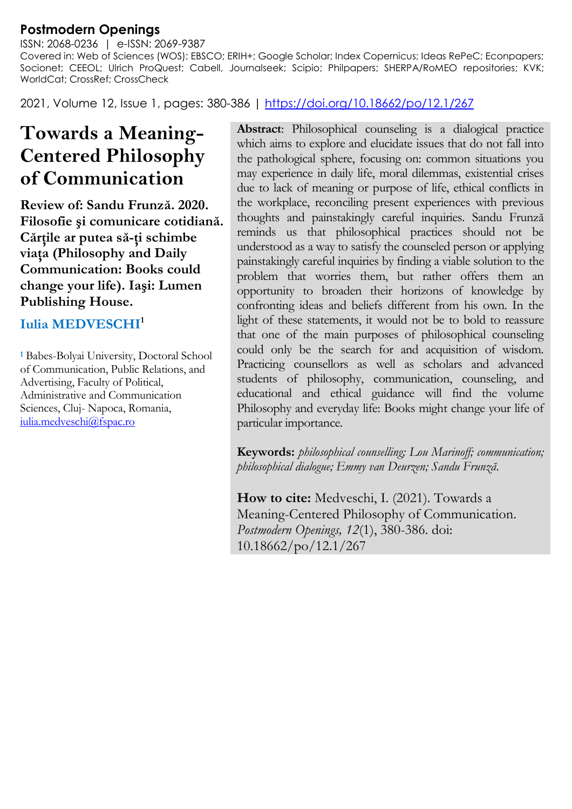## **Postmodern Openings**

ISSN: 2068-0236 | e-ISSN: 2069-9387 Covered in: Web of Sciences (WOS); EBSCO; ERIH+; Google Scholar; Index Copernicus; Ideas RePeC; Econpapers; Socionet; CEEOL; Ulrich ProQuest; Cabell, Journalseek; Scipio; Philpapers; SHERPA/RoMEO repositories; KVK; WorldCat; CrossRef; CrossCheck

2021, Volume 12, Issue 1, pages: 380-386 | https://doi.org/10.18662/po/12.1/267

## **Towards a Meaning-Centered Philosophy of Communication**

**Review of: Sandu Frunză. 2020. Filosofie şi comunicare cotidiană. Cărţile ar putea să-ţi schimbe viaţa (Philosophy and Daily Communication: Books could change your life). Iaşi: Lumen Publishing House.**

## **Iulia MEDVESCHI1**

**<sup>1</sup>** Babes-Bolyai University, Doctoral School of Communication, Public Relations, and Advertising, Faculty of Political, Administrative and Communication Sciences, Cluj- Napoca, Romania, iulia.medveschi@fspac.ro

**Abstract**: Philosophical counseling is a dialogical practice which aims to explore and elucidate issues that do not fall into the pathological sphere, focusing on: common situations you may experience in daily life, moral dilemmas, existential crises due to lack of meaning or purpose of life, ethical conflicts in the workplace, reconciling present experiences with previous thoughts and painstakingly careful inquiries. Sandu Frunză reminds us that philosophical practices should not be understood as a way to satisfy the counseled person or applying painstakingly careful inquiries by finding a viable solution to the problem that worries them, but rather offers them an opportunity to broaden their horizons of knowledge by confronting ideas and beliefs different from his own. In the light of these statements, it would not be to bold to reassure that one of the main purposes of philosophical counseling could only be the search for and acquisition of wisdom. Practicing counsellors as well as scholars and advanced students of philosophy, communication, counseling, and educational and ethical guidance will find the volume Philosophy and everyday life: Books might change your life of particular importance.

**Keywords:** *philosophical counselling; Lou Marinoff; communication; philosophical dialogue; Emmy van Deurzen; Sandu Frunză.*

**How to cite:** Medveschi, I. (2021). Towards a Meaning-Centered Philosophy of Communication. *Postmodern Openings, 12*(1), 380-386. doi: 10.18662/po/12.1/267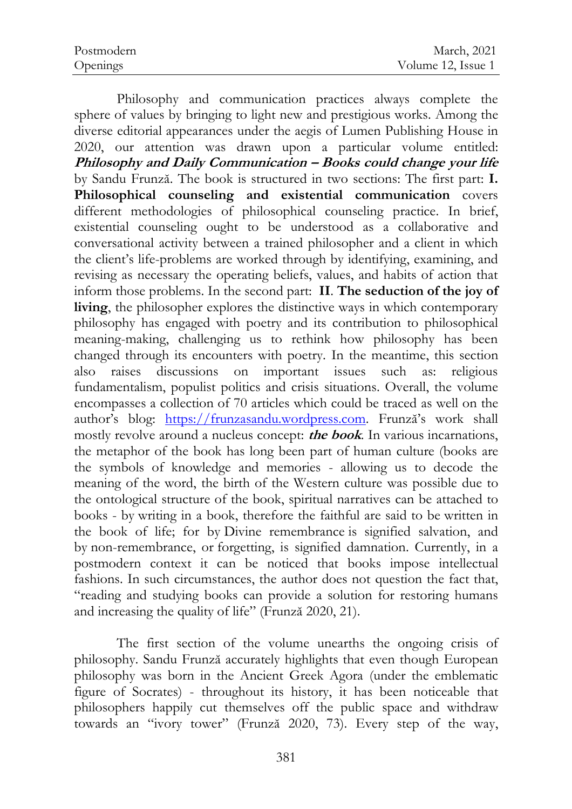| Postmodern | March, 2021        |
|------------|--------------------|
| Openings   | Volume 12, Issue 1 |

Philosophy and communication practices always complete the sphere of values by bringing to light new and prestigious works. Among the diverse editorial appearances under the aegis of Lumen Publishing House in 2020, our attention was drawn upon a particular volume entitled: **Philosophy and Daily Communication – Books could change your life** by Sandu Frunză. The book is structured in two sections: The first part: **I. Philosophical counseling and existential communication** covers different methodologies of philosophical counseling practice. In brief, existential counseling ought to be understood as a collaborative and conversational activity between a trained philosopher and a client in which the client's life-problems are worked through by identifying, examining, and revising as necessary the operating beliefs, values, and habits of action that inform those problems. In the second part: **II**. **The seduction of the joy of living**, the philosopher explores the distinctive ways in which contemporary philosophy has engaged with poetry and its contribution to philosophical meaning-making, challenging us to rethink how philosophy has been changed through its encounters with poetry. In the meantime, this section also raises discussions on important issues such as: religious fundamentalism, populist politics and crisis situations. Overall, the volume encompasses a collection of 70 articles which could be traced as well on the author's blog: https://frunzasandu.wordpress.com. Frunză's work shall mostly revolve around a nucleus concept: **the book**. In various incarnations, the metaphor of the book has long been part of human culture (books are the symbols of knowledge and memories - allowing us to decode the meaning of the word, the birth of the Western culture was possible due to the ontological structure of the book, spiritual narratives can be attached to books - by writing in a book, therefore the faithful are said to be written in the book of life; for by Divine remembrance is signified salvation, and by non-remembrance, or forgetting, is signified damnation. Currently, in a postmodern context it can be noticed that books impose intellectual fashions. In such circumstances, the author does not question the fact that, "reading and studying books can provide a solution for restoring humans and increasing the quality of life" (Frunză 2020, 21).

The first section of the volume unearths the ongoing crisis of philosophy. Sandu Frunză accurately highlights that even though European philosophy was born in the Ancient Greek Agora (under the emblematic figure of Socrates) - throughout its history, it has been noticeable that philosophers happily cut themselves off the public space and withdraw towards an "ivory tower" (Frunză 2020, 73). Every step of the way,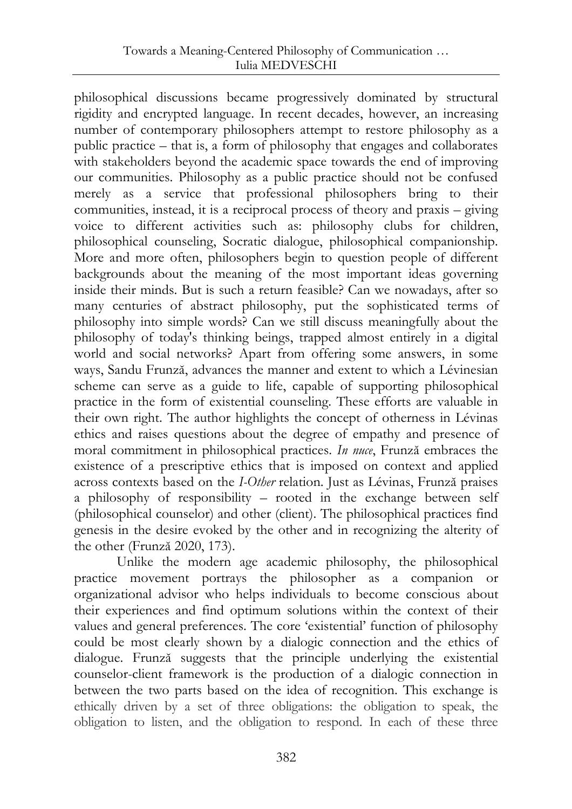philosophical discussions became progressively dominated by structural rigidity and encrypted language. In recent decades, however, an increasing number of contemporary philosophers attempt to restore philosophy as a public practice – that is, a form of philosophy that engages and collaborates with stakeholders beyond the academic space towards the end of improving our communities. Philosophy as a public practice should not be confused merely as a service that professional philosophers bring to their communities, instead, it is a reciprocal process of theory and praxis – giving voice to different activities such as: philosophy clubs for children, philosophical counseling, Socratic dialogue, philosophical companionship. More and more often, philosophers begin to question people of different backgrounds about the meaning of the most important ideas governing inside their minds. But is such a return feasible? Can we nowadays, after so many centuries of abstract philosophy, put the sophisticated terms of philosophy into simple words? Can we still discuss meaningfully about the philosophy of today's thinking beings, trapped almost entirely in a digital world and social networks? Apart from offering some answers, in some ways, Sandu Frunză, advances the manner and extent to which a Lévinesian scheme can serve as a guide to life, capable of supporting philosophical practice in the form of existential counseling. These efforts are valuable in their own right. The author highlights the concept of otherness in Lévinas ethics and raises questions about the degree of empathy and presence of moral commitment in philosophical practices. *In nuce*, Frunză embraces the existence of a prescriptive ethics that is imposed on context and applied across contexts based on the *I-Other* relation. Just as Lévinas, Frunză praises a philosophy of responsibility – rooted in the exchange between self (philosophical counselor) and other (client). The philosophical practices find genesis in the desire evoked by the other and in recognizing the alterity of the other (Frunză 2020, 173).

Unlike the modern age academic philosophy, the philosophical practice movement portrays the philosopher as a companion or organizational advisor who helps individuals to become conscious about their experiences and find optimum solutions within the context of their values and general preferences. The core 'existential' function of philosophy could be most clearly shown by a dialogic connection and the ethics of dialogue. Frunză suggests that the principle underlying the existential counselor-client framework is the production of a dialogic connection in between the two parts based on the idea of recognition. This exchange is ethically driven by a set of three obligations: the obligation to speak, the obligation to listen, and the obligation to respond. In each of these three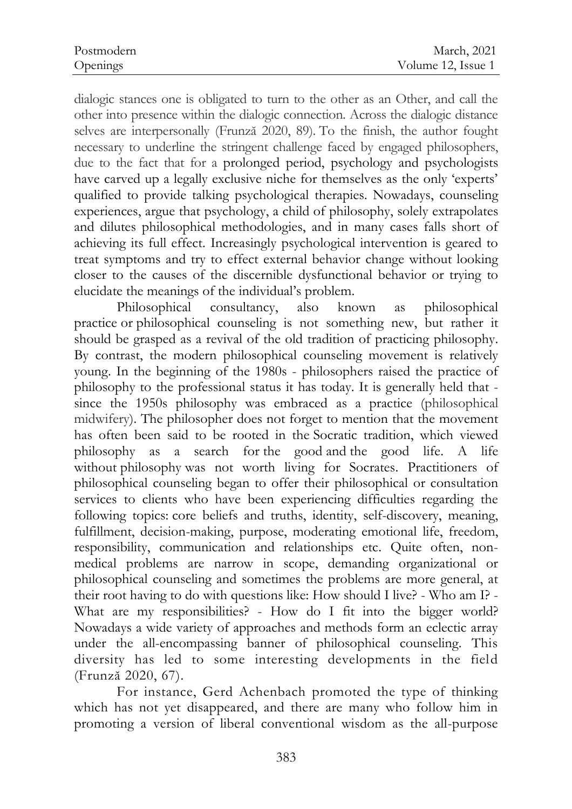dialogic stances one is obligated to turn to the other as an Other, and call the other into presence within the dialogic connection. Across the dialogic distance selves are interpersonally (Frunză 2020, 89). To the finish, the author fought necessary to underline the stringent challenge faced by engaged philosophers, due to the fact that for a prolonged period, psychology and psychologists have carved up a legally exclusive niche for themselves as the only 'experts' qualified to provide talking psychological therapies. Nowadays, counseling experiences, argue that psychology, a child of philosophy, solely extrapolates and dilutes philosophical methodologies, and in many cases falls short of achieving its full effect. Increasingly psychological intervention is geared to treat symptoms and try to effect external behavior change without looking closer to the causes of the discernible dysfunctional behavior or trying to elucidate the meanings of the individual's problem.

Philosophical consultancy, also known as philosophical practice or philosophical counseling is not something new, but rather it should be grasped as a revival of the old tradition of practicing philosophy. By contrast, the modern philosophical counseling movement is relatively young. In the beginning of the 1980s - philosophers raised the practice of philosophy to the professional status it has today. It is generally held that since the 1950s philosophy was embraced as a practice (philosophical midwifery). The philosopher does not forget to mention that the movement has often been said to be rooted in the Socratic tradition, which viewed philosophy as a search for the good and the good life. A life without philosophy was not worth living for Socrates. Practitioners of philosophical counseling began to offer their philosophical or consultation services to clients who have been experiencing difficulties regarding the following topics: core beliefs and truths, identity, self-discovery, meaning, fulfillment, decision-making, purpose, moderating emotional life, freedom, responsibility, communication and relationships etc. Quite often, nonmedical problems are narrow in scope, demanding organizational or philosophical counseling and sometimes the problems are more general, at their root having to do with questions like: How should I live? - Who am I? - What are my responsibilities? - How do I fit into the bigger world? Nowadays a wide variety of approaches and methods form an eclectic array under the all-encompassing banner of philosophical counseling. This diversity has led to some interesting developments in the field (Frunză 2020, 67).

For instance, Gerd Achenbach promoted the type of thinking which has not yet disappeared, and there are many who follow him in promoting a version of liberal conventional wisdom as the all-purpose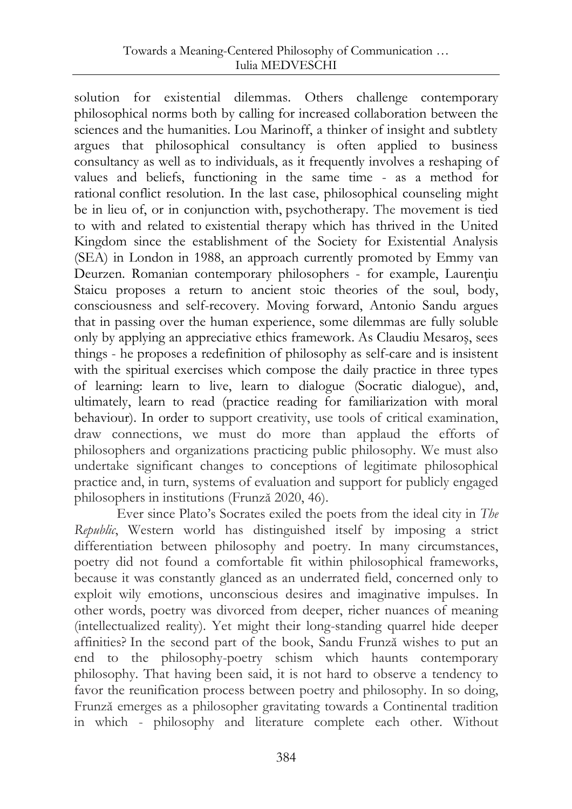solution for existential dilemmas. Others challenge contemporary philosophical norms both by calling for increased collaboration between the sciences and the humanities. Lou Marinoff, a thinker of insight and subtlety argues that philosophical consultancy is often applied to business consultancy as well as to individuals, as it frequently involves a reshaping of values and beliefs, functioning in the same time - as a method for rational conflict resolution. In the last case, philosophical counseling might be in lieu of, or in conjunction with, psychotherapy. The movement is tied to with and related to existential therapy which has thrived in the United Kingdom since the establishment of the Society for Existential Analysis (SEA) in London in 1988, an approach currently promoted by Emmy van Deurzen. Romanian contemporary philosophers - for example, Laurenţiu Staicu proposes a return to ancient stoic theories of the soul, body, consciousness and self-recovery. Moving forward, Antonio Sandu argues that in passing over the human experience, some dilemmas are fully soluble only by applying an appreciative ethics framework. As Claudiu Mesaroş, sees things - he proposes a redefinition of philosophy as self-care and is insistent with the spiritual exercises which compose the daily practice in three types of learning: learn to live, learn to dialogue (Socratic dialogue), and, ultimately, learn to read (practice reading for familiarization with moral behaviour). In order to support creativity, use tools of critical examination, draw connections, we must do more than applaud the efforts of philosophers and organizations practicing public philosophy. We must also undertake significant changes to conceptions of legitimate philosophical practice and, in turn, systems of evaluation and support for publicly engaged philosophers in institutions (Frunză 2020, 46).

Ever since Plato's Socrates exiled the poets from the ideal city in *The Republic*, Western world has distinguished itself by imposing a strict differentiation between philosophy and poetry. In many circumstances, poetry did not found a comfortable fit within philosophical frameworks, because it was constantly glanced as an underrated field, concerned only to exploit wily emotions, unconscious desires and imaginative impulses. In other words, poetry was divorced from deeper, richer nuances of meaning (intellectualized reality). Yet might their long-standing quarrel hide deeper affinities? In the second part of the book, Sandu Frunză wishes to put an end to the philosophy-poetry schism which haunts contemporary philosophy. That having been said, it is not hard to observe a tendency to favor the reunification process between poetry and philosophy. In so doing, Frunză emerges as a philosopher gravitating towards a Continental tradition in which - philosophy and literature complete each other. Without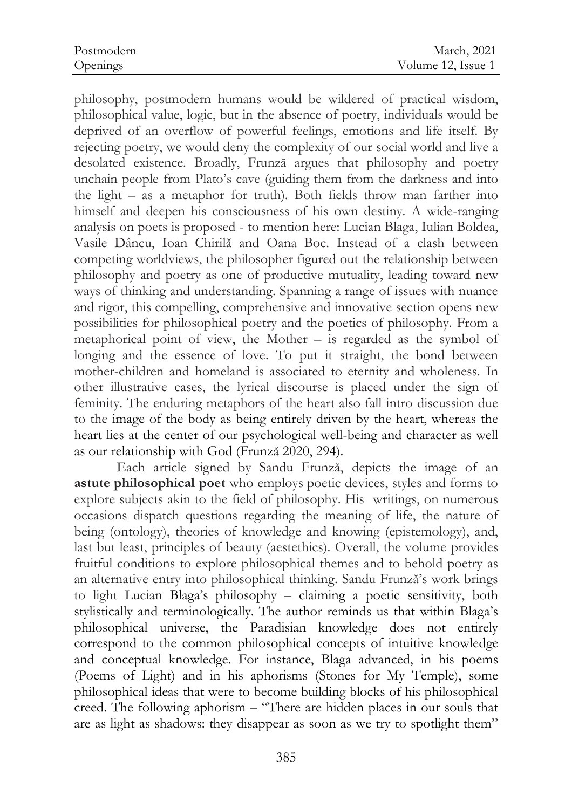philosophy, postmodern humans would be wildered of practical wisdom, philosophical value, logic, but in the absence of poetry, individuals would be deprived of an overflow of powerful feelings, emotions and life itself. By rejecting poetry, we would deny the complexity of our social world and live a desolated existence. Broadly, Frunză argues that philosophy and poetry unchain people from Plato's cave (guiding them from the darkness and into the light – as a metaphor for truth). Both fields throw man farther into himself and deepen his consciousness of his own destiny. A wide-ranging analysis on poets is proposed - to mention here: Lucian Blaga, Iulian Boldea, Vasile Dâncu, Ioan Chirilă and Oana Boc. Instead of a clash between competing worldviews, the philosopher figured out the relationship between philosophy and poetry as one of productive mutuality, leading toward new ways of thinking and understanding. Spanning a range of issues with nuance and rigor, this compelling, comprehensive and innovative section opens new possibilities for philosophical poetry and the poetics of philosophy. From a metaphorical point of view, the Mother – is regarded as the symbol of longing and the essence of love. To put it straight, the bond between mother-children and homeland is associated to eternity and wholeness. In other illustrative cases, the lyrical discourse is placed under the sign of feminity. The enduring metaphors of the heart also fall intro discussion due to the image of the body as being entirely driven by the heart, whereas the heart lies at the center of our psychological well-being and character as well as our relationship with God (Frunză 2020, 294).

Each article signed by Sandu Frunză, depicts the image of an **astute philosophical poet** who employs poetic devices, styles and forms to explore subjects akin to the field of philosophy. His writings, on numerous occasions dispatch questions regarding the meaning of life, the nature of being (ontology), theories of knowledge and knowing (epistemology), and, last but least, principles of beauty (aestethics). Overall, the volume provides fruitful conditions to explore philosophical themes and to behold poetry as an alternative entry into philosophical thinking. Sandu Frunză's work brings to light Lucian Blaga's philosophy – claiming a poetic sensitivity, both stylistically and terminologically. The author reminds us that within Blaga's philosophical universe, the Paradisian knowledge does not entirely correspond to the common philosophical concepts of intuitive knowledge and conceptual knowledge. For instance, Blaga advanced, in his poems (Poems of Light) and in his aphorisms (Stones for My Temple), some philosophical ideas that were to become building blocks of his philosophical creed. The following aphorism – "There are hidden places in our souls that are as light as shadows: they disappear as soon as we try to spotlight them"